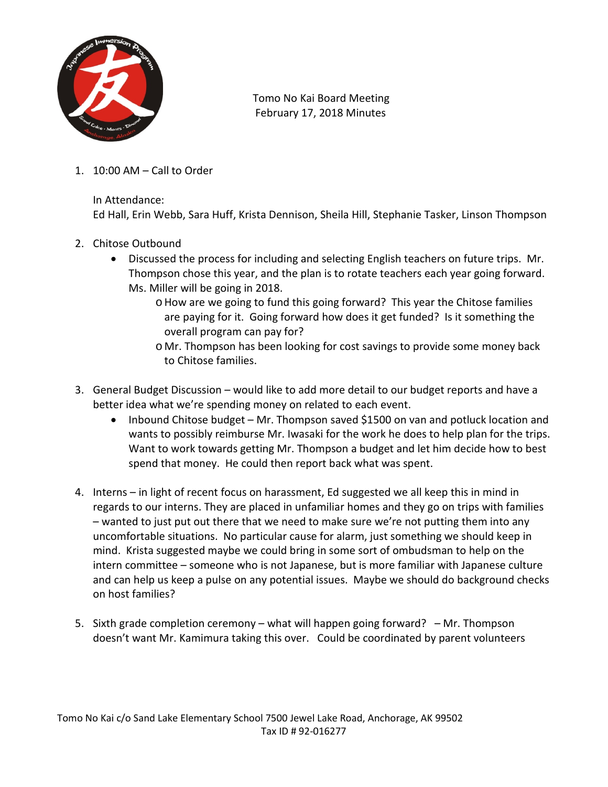

 Tomo No Kai Board Meeting February 17, 2018 Minutes

1. 10:00 AM – Call to Order

In Attendance:

Ed Hall, Erin Webb, Sara Huff, Krista Dennison, Sheila Hill, Stephanie Tasker, Linson Thompson

- 2. Chitose Outbound
	- Discussed the process for including and selecting English teachers on future trips. Mr. Thompson chose this year, and the plan is to rotate teachers each year going forward. Ms. Miller will be going in 2018.
		- oHow are we going to fund this going forward? This year the Chitose families are paying for it. Going forward how does it get funded? Is it something the overall program can pay for?
		- o Mr. Thompson has been looking for cost savings to provide some money back to Chitose families.
- 3. General Budget Discussion would like to add more detail to our budget reports and have a better idea what we're spending money on related to each event.
	- Inbound Chitose budget Mr. Thompson saved \$1500 on van and potluck location and wants to possibly reimburse Mr. Iwasaki for the work he does to help plan for the trips. Want to work towards getting Mr. Thompson a budget and let him decide how to best spend that money. He could then report back what was spent.
- 4. Interns in light of recent focus on harassment, Ed suggested we all keep this in mind in regards to our interns. They are placed in unfamiliar homes and they go on trips with families – wanted to just put out there that we need to make sure we're not putting them into any uncomfortable situations. No particular cause for alarm, just something we should keep in mind. Krista suggested maybe we could bring in some sort of ombudsman to help on the intern committee – someone who is not Japanese, but is more familiar with Japanese culture and can help us keep a pulse on any potential issues. Maybe we should do background checks on host families?
- 5. Sixth grade completion ceremony what will happen going forward? Mr. Thompson doesn't want Mr. Kamimura taking this over. Could be coordinated by parent volunteers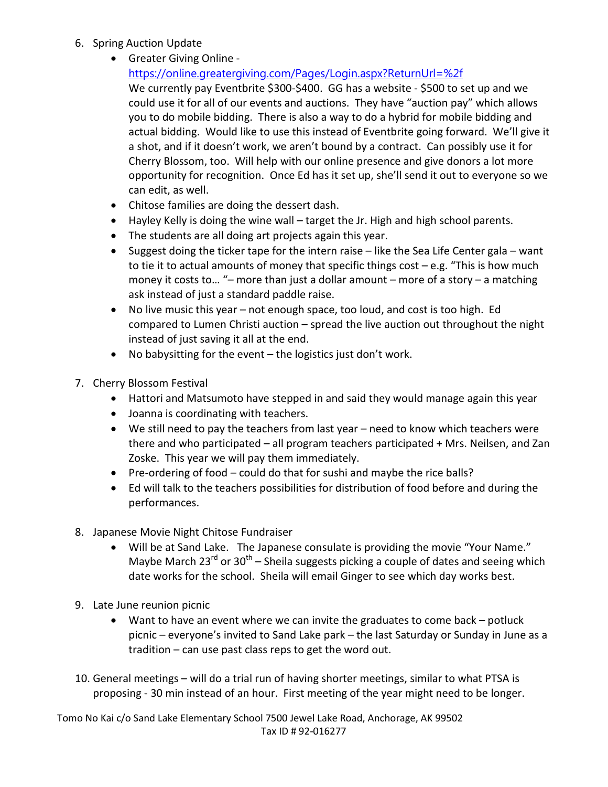- 6. Spring Auction Update
	- Greater Giving Online -

<https://online.greatergiving.com/Pages/Login.aspx?ReturnUrl=%2f>

We currently pay Eventbrite \$300-\$400. GG has a website - \$500 to set up and we could use it for all of our events and auctions. They have "auction pay" which allows you to do mobile bidding. There is also a way to do a hybrid for mobile bidding and actual bidding. Would like to use this instead of Eventbrite going forward. We'll give it a shot, and if it doesn't work, we aren't bound by a contract. Can possibly use it for Cherry Blossom, too. Will help with our online presence and give donors a lot more opportunity for recognition. Once Ed has it set up, she'll send it out to everyone so we can edit, as well.

- Chitose families are doing the dessert dash.
- Hayley Kelly is doing the wine wall target the Jr. High and high school parents.
- The students are all doing art projects again this year.
- Suggest doing the ticker tape for the intern raise like the Sea Life Center gala want to tie it to actual amounts of money that specific things cost – e.g. "This is how much money it costs to… "– more than just a dollar amount – more of a story – a matching ask instead of just a standard paddle raise.
- No live music this year not enough space, too loud, and cost is too high. Ed compared to Lumen Christi auction – spread the live auction out throughout the night instead of just saving it all at the end.
- No babysitting for the event the logistics just don't work.
- 7. Cherry Blossom Festival
	- Hattori and Matsumoto have stepped in and said they would manage again this year
	- Joanna is coordinating with teachers.
	- We still need to pay the teachers from last year need to know which teachers were there and who participated – all program teachers participated + Mrs. Neilsen, and Zan Zoske. This year we will pay them immediately.
	- Pre-ordering of food could do that for sushi and maybe the rice balls?
	- Ed will talk to the teachers possibilities for distribution of food before and during the performances.
- 8. Japanese Movie Night Chitose Fundraiser
	- Will be at Sand Lake. The Japanese consulate is providing the movie "Your Name." Maybe March 23<sup>rd</sup> or 30<sup>th</sup> – Sheila suggests picking a couple of dates and seeing which date works for the school. Sheila will email Ginger to see which day works best.
- 9. Late June reunion picnic
	- Want to have an event where we can invite the graduates to come back potluck picnic – everyone's invited to Sand Lake park – the last Saturday or Sunday in June as a tradition – can use past class reps to get the word out.
- 10. General meetings will do a trial run of having shorter meetings, similar to what PTSA is proposing - 30 min instead of an hour. First meeting of the year might need to be longer.

Tomo No Kai c/o Sand Lake Elementary School 7500 Jewel Lake Road, Anchorage, AK 99502 Tax ID # 92-016277